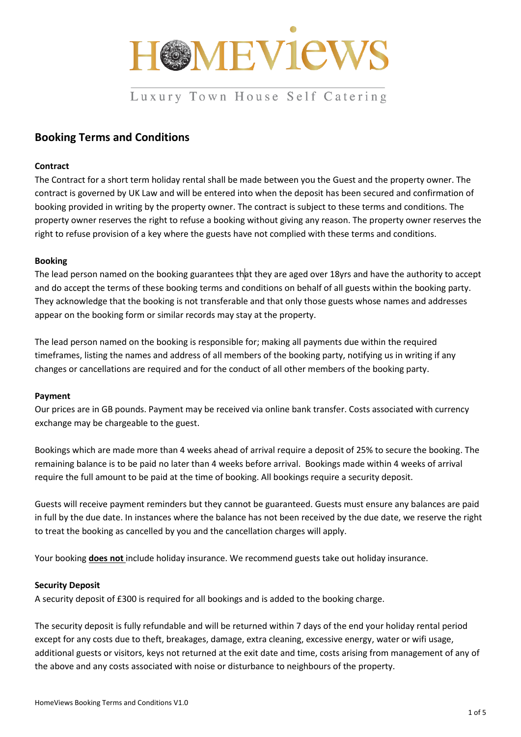

# Luxury Town House Self Catering

## **Booking Terms and Conditions**

## **Contract**

The Contract for a short term holiday rental shall be made between you the Guest and the property owner. The contract is governed by UK Law and will be entered into when the deposit has been secured and confirmation of booking provided in writing by the property owner. The contract is subject to these terms and conditions. The property owner reserves the right to refuse a booking without giving any reason. The property owner reserves the right to refuse provision of a key where the guests have not complied with these terms and conditions.

## **Booking**

The lead person named on the booking guarantees that they are aged over 18yrs and have the authority to accept and do accept the terms of these booking terms and conditions on behalf of all guests within the booking party. They acknowledge that the booking is not transferable and that only those guests whose names and addresses appear on the booking form or similar records may stay at the property.

The lead person named on the booking is responsible for; making all payments due within the required timeframes, listing the names and address of all members of the booking party, notifying us in writing if any changes or cancellations are required and for the conduct of all other members of the booking party.

#### **Payment**

Our prices are in GB pounds. Payment may be received via online bank transfer. Costs associated with currency exchange may be chargeable to the guest.

Bookings which are made more than 4 weeks ahead of arrival require a deposit of 25% to secure the booking. The remaining balance is to be paid no later than 4 weeks before arrival. Bookings made within 4 weeks of arrival require the full amount to be paid at the time of booking. All bookings require a security deposit.

Guests will receive payment reminders but they cannot be guaranteed. Guests must ensure any balances are paid in full by the due date. In instances where the balance has not been received by the due date, we reserve the right to treat the booking as cancelled by you and the cancellation charges will apply.

Your booking **does not** include holiday insurance. We recommend guests take out holiday insurance.

## **Security Deposit**

A security deposit of £300 is required for all bookings and is added to the booking charge.

The security deposit is fully refundable and will be returned within 7 days of the end your holiday rental period except for any costs due to theft, breakages, damage, extra cleaning, excessive energy, water or wifi usage, additional guests or visitors, keys not returned at the exit date and time, costs arising from management of any of the above and any costs associated with noise or disturbance to neighbours of the property.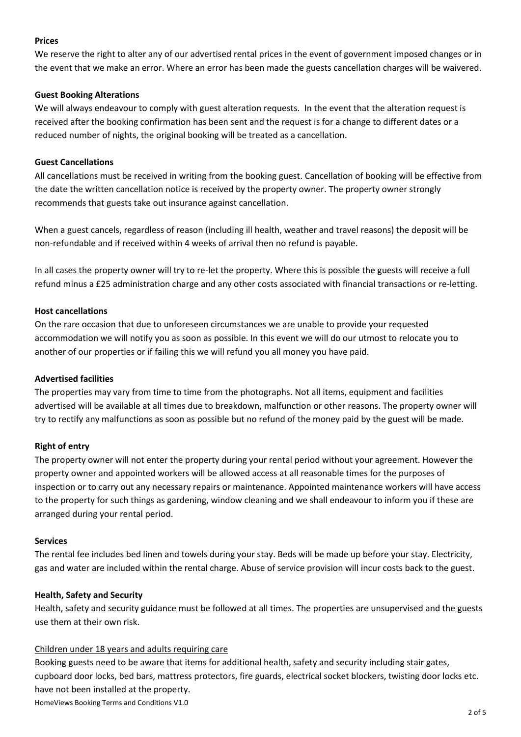#### **Prices**

We reserve the right to alter any of our advertised rental prices in the event of government imposed changes or in the event that we make an error. Where an error has been made the guests cancellation charges will be waivered.

## **Guest Booking Alterations**

We will always endeavour to comply with guest alteration requests. In the event that the alteration request is received after the booking confirmation has been sent and the request is for a change to different dates or a reduced number of nights, the original booking will be treated as a cancellation.

## **Guest Cancellations**

All cancellations must be received in writing from the booking guest. Cancellation of booking will be effective from the date the written cancellation notice is received by the property owner. The property owner strongly recommends that guests take out insurance against cancellation.

When a guest cancels, regardless of reason (including ill health, weather and travel reasons) the deposit will be non-refundable and if received within 4 weeks of arrival then no refund is payable.

In all cases the property owner will try to re-let the property. Where this is possible the guests will receive a full refund minus a £25 administration charge and any other costs associated with financial transactions or re-letting.

## **Host cancellations**

On the rare occasion that due to unforeseen circumstances we are unable to provide your requested accommodation we will notify you as soon as possible. In this event we will do our utmost to relocate you to another of our properties or if failing this we will refund you all money you have paid.

#### **Advertised facilities**

The properties may vary from time to time from the photographs. Not all items, equipment and facilities advertised will be available at all times due to breakdown, malfunction or other reasons. The property owner will try to rectify any malfunctions as soon as possible but no refund of the money paid by the guest will be made.

#### **Right of entry**

The property owner will not enter the property during your rental period without your agreement. However the property owner and appointed workers will be allowed access at all reasonable times for the purposes of inspection or to carry out any necessary repairs or maintenance. Appointed maintenance workers will have access to the property for such things as gardening, window cleaning and we shall endeavour to inform you if these are arranged during your rental period.

#### **Services**

The rental fee includes bed linen and towels during your stay. Beds will be made up before your stay. Electricity, gas and water are included within the rental charge. Abuse of service provision will incur costs back to the guest.

#### **Health, Safety and Security**

Health, safety and security guidance must be followed at all times. The properties are unsupervised and the guests use them at their own risk.

## Children under 18 years and adults requiring care

HomeViews Booking Terms and Conditions V1.0 Booking guests need to be aware that items for additional health, safety and security including stair gates, cupboard door locks, bed bars, mattress protectors, fire guards, electrical socket blockers, twisting door locks etc. have not been installed at the property.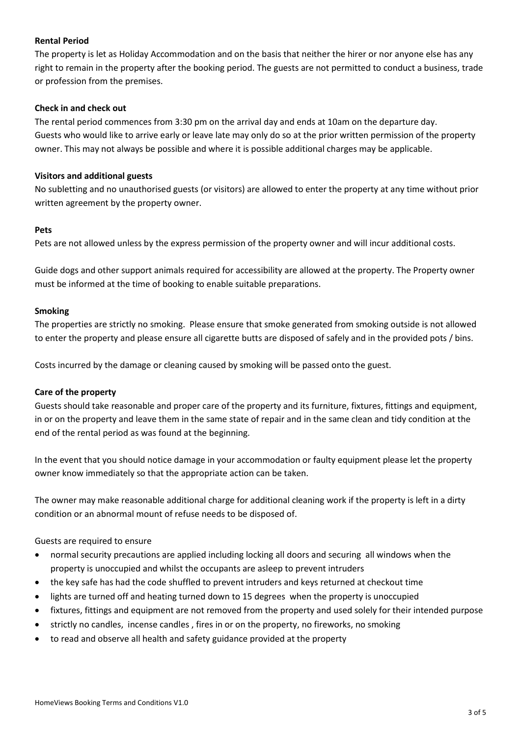## **Rental Period**

The property is let as Holiday Accommodation and on the basis that neither the hirer or nor anyone else has any right to remain in the property after the booking period. The guests are not permitted to conduct a business, trade or profession from the premises.

#### **Check in and check out**

The rental period commences from 3:30 pm on the arrival day and ends at 10am on the departure day. Guests who would like to arrive early or leave late may only do so at the prior written permission of the property owner. This may not always be possible and where it is possible additional charges may be applicable.

#### **Visitors and additional guests**

No subletting and no unauthorised guests (or visitors) are allowed to enter the property at any time without prior written agreement by the property owner.

#### **Pets**

Pets are not allowed unless by the express permission of the property owner and will incur additional costs.

Guide dogs and other support animals required for accessibility are allowed at the property. The Property owner must be informed at the time of booking to enable suitable preparations.

## **Smoking**

The properties are strictly no smoking. Please ensure that smoke generated from smoking outside is not allowed to enter the property and please ensure all cigarette butts are disposed of safely and in the provided pots / bins.

Costs incurred by the damage or cleaning caused by smoking will be passed onto the guest.

## **Care of the property**

Guests should take reasonable and proper care of the property and its furniture, fixtures, fittings and equipment, in or on the property and leave them in the same state of repair and in the same clean and tidy condition at the end of the rental period as was found at the beginning.

In the event that you should notice damage in your accommodation or faulty equipment please let the property owner know immediately so that the appropriate action can be taken.

The owner may make reasonable additional charge for additional cleaning work if the property is left in a dirty condition or an abnormal mount of refuse needs to be disposed of.

Guests are required to ensure

- normal security precautions are applied including locking all doors and securing all windows when the property is unoccupied and whilst the occupants are asleep to prevent intruders
- the key safe has had the code shuffled to prevent intruders and keys returned at checkout time
- lights are turned off and heating turned down to 15 degrees when the property is unoccupied
- fixtures, fittings and equipment are not removed from the property and used solely for their intended purpose
- strictly no candles, incense candles, fires in or on the property, no fireworks, no smoking
- to read and observe all health and safety guidance provided at the property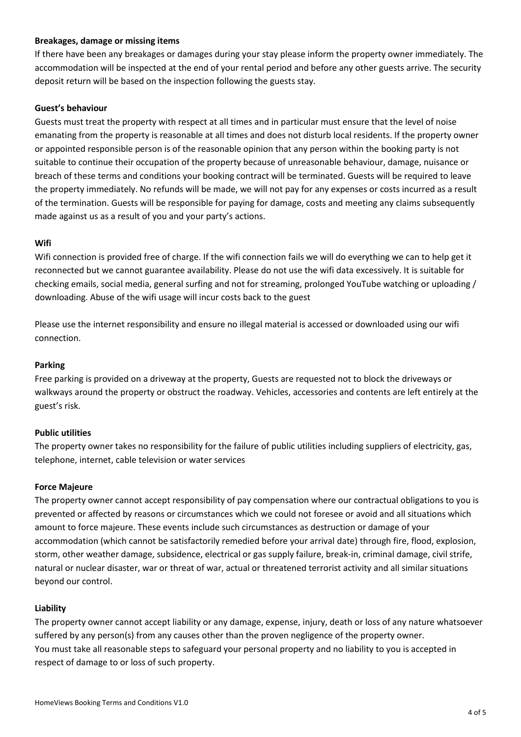#### **Breakages, damage or missing items**

If there have been any breakages or damages during your stay please inform the property owner immediately. The accommodation will be inspected at the end of your rental period and before any other guests arrive. The security deposit return will be based on the inspection following the guests stay.

## **Guest's behaviour**

Guests must treat the property with respect at all times and in particular must ensure that the level of noise emanating from the property is reasonable at all times and does not disturb local residents. If the property owner or appointed responsible person is of the reasonable opinion that any person within the booking party is not suitable to continue their occupation of the property because of unreasonable behaviour, damage, nuisance or breach of these terms and conditions your booking contract will be terminated. Guests will be required to leave the property immediately. No refunds will be made, we will not pay for any expenses or costs incurred as a result of the termination. Guests will be responsible for paying for damage, costs and meeting any claims subsequently made against us as a result of you and your party's actions.

## **Wifi**

Wifi connection is provided free of charge. If the wifi connection fails we will do everything we can to help get it reconnected but we cannot guarantee availability. Please do not use the wifi data excessively. It is suitable for checking emails, social media, general surfing and not for streaming, prolonged YouTube watching or uploading / downloading. Abuse of the wifi usage will incur costs back to the guest

Please use the internet responsibility and ensure no illegal material is accessed or downloaded using our wifi connection.

## **Parking**

Free parking is provided on a driveway at the property, Guests are requested not to block the driveways or walkways around the property or obstruct the roadway. Vehicles, accessories and contents are left entirely at the guest's risk.

## **Public utilities**

The property owner takes no responsibility for the failure of public utilities including suppliers of electricity, gas, telephone, internet, cable television or water services

## **Force Majeure**

The property owner cannot accept responsibility of pay compensation where our contractual obligations to you is prevented or affected by reasons or circumstances which we could not foresee or avoid and all situations which amount to force majeure. These events include such circumstances as destruction or damage of your accommodation (which cannot be satisfactorily remedied before your arrival date) through fire, flood, explosion, storm, other weather damage, subsidence, electrical or gas supply failure, break-in, criminal damage, civil strife, natural or nuclear disaster, war or threat of war, actual or threatened terrorist activity and all similar situations beyond our control.

## **Liability**

The property owner cannot accept liability or any damage, expense, injury, death or loss of any nature whatsoever suffered by any person(s) from any causes other than the proven negligence of the property owner. You must take all reasonable steps to safeguard your personal property and no liability to you is accepted in respect of damage to or loss of such property.